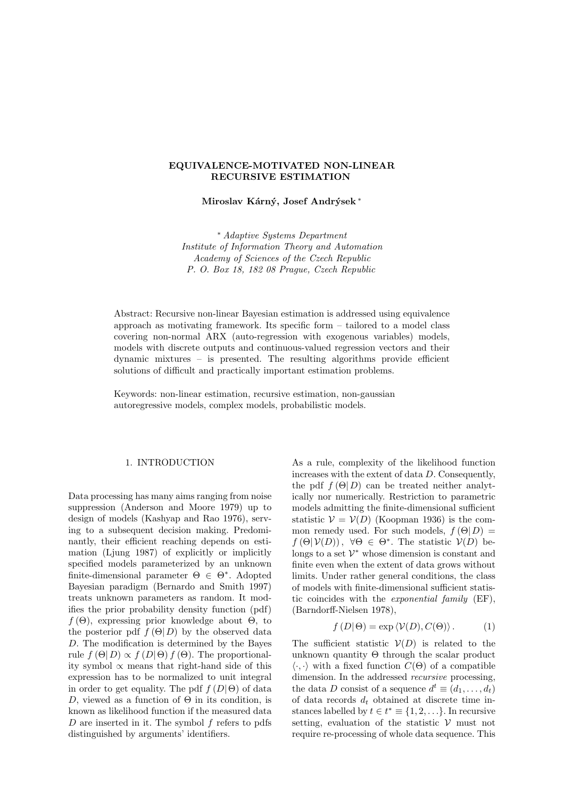# EQUIVALENCE-MOTIVATED NON-LINEAR RECURSIVE ESTIMATION

Miroslav Kárný, Josef Andrýsek\*

<sup>∗</sup> Adaptive Systems Department Institute of Information Theory and Automation Academy of Sciences of the Czech Republic P. O. Box 18, 182 08 Prague, Czech Republic

Abstract: Recursive non-linear Bayesian estimation is addressed using equivalence approach as motivating framework. Its specific form – tailored to a model class covering non-normal ARX (auto-regression with exogenous variables) models, models with discrete outputs and continuous-valued regression vectors and their dynamic mixtures – is presented. The resulting algorithms provide efficient solutions of difficult and practically important estimation problems.

Keywords: non-linear estimation, recursive estimation, non-gaussian autoregressive models, complex models, probabilistic models.

## 1. INTRODUCTION

Data processing has many aims ranging from noise suppression (Anderson and Moore 1979) up to design of models (Kashyap and Rao 1976), serving to a subsequent decision making. Predominantly, their efficient reaching depends on estimation (Ljung 1987) of explicitly or implicitly specified models parameterized by an unknown finite-dimensional parameter  $\Theta \in \Theta^*$ . Adopted Bayesian paradigm (Bernardo and Smith 1997) treats unknown parameters as random. It modifies the prior probability density function (pdf)  $f(\Theta)$ , expressing prior knowledge about  $\Theta$ , to the posterior pdf  $f(\Theta|D)$  by the observed data D. The modification is determined by the Bayes rule  $f(\Theta|D) \propto f(D|\Theta) f(\Theta)$ . The proportionality symbol ∝ means that right-hand side of this expression has to be normalized to unit integral in order to get equality. The pdf  $f(D|\Theta)$  of data D, viewed as a function of  $\Theta$  in its condition, is known as likelihood function if the measured data  $D$  are inserted in it. The symbol  $f$  refers to pdfs distinguished by arguments' identifiers.

As a rule, complexity of the likelihood function increases with the extent of data D. Consequently, the pdf  $f(\Theta|D)$  can be treated neither analytically nor numerically. Restriction to parametric models admitting the finite-dimensional sufficient statistic  $V = V(D)$  (Koopman 1936) is the common remedy used. For such models,  $f(\Theta|D)$  =  $f(\Theta|\mathcal{V}(D))$ ,  $\forall \Theta \in \Theta^*$ . The statistic  $\mathcal{V}(D)$  belongs to a set  $\mathcal{V}^*$  whose dimension is constant and finite even when the extent of data grows without limits. Under rather general conditions, the class of models with finite-dimensional sufficient statistic coincides with the exponential family (EF), (Barndorff-Nielsen 1978),

$$
f(D|\Theta) = \exp \langle \mathcal{V}(D), C(\Theta) \rangle. \tag{1}
$$

The sufficient statistic  $V(D)$  is related to the unknown quantity  $\Theta$  through the scalar product  $\langle \cdot, \cdot \rangle$  with a fixed function  $C(\Theta)$  of a compatible dimension. In the addressed recursive processing, the data D consist of a sequence  $d^t \equiv (d_1, \ldots, d_t)$ of data records  $d_t$  obtained at discrete time instances labelled by  $t \in t^* \equiv \{1, 2, \ldots\}$ . In recursive setting, evaluation of the statistic  $V$  must not require re-processing of whole data sequence. This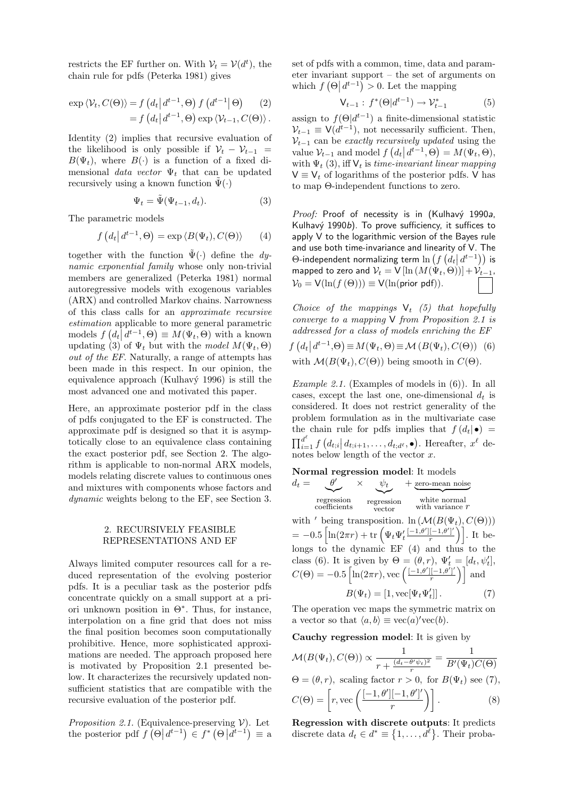restricts the EF further on. With  $V_t = V(d^t)$ , the chain rule for pdfs (Peterka 1981) gives

$$
\exp \langle \mathcal{V}_t, C(\Theta) \rangle = f\left(d_t \, \middle| \, d^{t-1}, \Theta\right) f\left(d^{t-1} \middle| \, \Theta\right) \tag{2}
$$
\n
$$
= f\left(d_t \, \middle| \, d^{t-1}, \Theta\right) \exp \langle \mathcal{V}_{t-1}, C(\Theta) \rangle \, .
$$

Identity (2) implies that recursive evaluation of the likelihood is only possible if  $V_t - V_{t-1}$  =  $B(\Psi_t)$ , where  $B(\cdot)$  is a function of a fixed dimensional data vector  $\Psi_t$  that can be updated recursively using a known function  $\tilde{\Psi}(\cdot)$ 

$$
\Psi_t = \tilde{\Psi}(\Psi_{t-1}, d_t). \tag{3}
$$

The parametric models

$$
f(d_t|d^{t-1},\Theta) = \exp\langle B(\Psi_t), C(\Theta)\rangle \qquad (4)
$$

together with the function  $\tilde{\Psi}(\cdot)$  define the dynamic exponential family whose only non-trivial members are generalized (Peterka 1981) normal autoregressive models with exogenous variables (ARX) and controlled Markov chains. Narrowness of this class calls for an approximate recursive  $estimation$  applicable to more general parametric models  $f(d_t\vec{d}^{t-1},\Theta) \equiv M(\Psi_t,\Theta)$  with a known updating (3) of  $\Psi_t$  but with the model  $M(\Psi_t, \Theta)$ out of the EF. Naturally, a range of attempts has been made in this respect. In our opinion, the equivalence approach (Kulhavý 1996) is still the most advanced one and motivated this paper.

Here, an approximate posterior pdf in the class of pdfs conjugated to the EF is constructed. The approximate pdf is designed so that it is asymptotically close to an equivalence class containing the exact posterior pdf, see Section 2. The algorithm is applicable to non-normal ARX models, models relating discrete values to continuous ones and mixtures with components whose factors and dynamic weights belong to the EF, see Section 3.

# 2. RECURSIVELY FEASIBLE REPRESENTATIONS AND EF

Always limited computer resources call for a reduced representation of the evolving posterior pdfs. It is a peculiar task as the posterior pdfs concentrate quickly on a small support at a priori unknown position in  $\Theta^*$ . Thus, for instance, interpolation on a fine grid that does not miss the final position becomes soon computationally prohibitive. Hence, more sophisticated approximations are needed. The approach proposed here is motivated by Proposition 2.1 presented below. It characterizes the recursively updated nonsufficient statistics that are compatible with the recursive evaluation of the posterior pdf.

Proposition 2.1. (Equivalence-preserving  $V$ ). Let the posterior pdf  $f(\Theta | d^{t-1}) \in f^* (\Theta | d^{t-1}) \equiv a$  set of pdfs with a common, time, data and parameter invariant support – the set of arguments on which  $f(\Theta \mid d^{t-1}) > 0$ . Let the mapping

$$
V_{t-1}: f^*(\Theta | d^{t-1}) \to \mathcal{V}_{t-1}^* \tag{5}
$$

assign to  $f(\Theta|d^{t-1})$  a finite-dimensional statistic  $V_{t-1} \equiv V(d^{t-1})$ , not necessarily sufficient. Then,  $V_{t-1}$  can be exactly recursively updated using the value  $\mathcal{V}_{t-1}$  and model  $f(d_t | d^{t-1}, \Theta) = M(\Psi_t, \Theta),$ with  $\Psi_t$  (3), iff  $V_t$  is time-invariant linear mapping  $V \equiv V_t$  of logarithms of the posterior pdfs. V has to map Θ-independent functions to zero.

Proof: Proof of necessity is in (Kulhavý 1990a, Kulhavý 1990b). To prove sufficiency, it suffices to apply V to the logarithmic version of the Bayes rule and use both time-invariance and linearity of V. The and use both time-invariance and linearity of V. The<br> $\Theta$ -independent normalizing term  $\ln\left(f\left(d_t\middle|d^{t-1}\right)\right)$  is mapped to zero and  $V_t = V [\ln (M(\Psi_t, \Theta))] + V_{t-1}$ ,  $V_0 = V(\ln(f(\Theta))) \equiv V(\ln(\text{prior pdf})).$ 

Choice of the mappings  $V_t$  (5) that hopefully converge to a mapping V from Proposition 2.1 is addressed for a class of models enriching the EF f ¡  $d_t$  $d^{t-1}, \Theta$ ¢  $\equiv M(\Psi_t, \Theta) \equiv \mathcal{M}(B(\Psi_t), C(\Theta))$  (6)

with  $\mathcal{M}(B(\Psi_t), C(\Theta))$  being smooth in  $C(\Theta)$ .

*Example 2.1.* (Examples of models in  $(6)$ ). In all cases, except the last one, one-dimensional  $d_t$  is considered. It does not restrict generality of the problem formulation as in the multivariate case the chain rule for pdfs implies that  $f(d_t|\bullet) =$  $\prod_{i=1}^{d^{\ell}} f$ ∵ٌ  $\left. d_{t;i} \right| d_{t;i+1}, \ldots, d_{t;d^{\ell}}, \bullet)$ . Hereafter,  $x^{\ell}$  denotes below length of the vector  $x$ .

Normal regression model: It models  
\n
$$
d_t = \underbrace{\theta'}_{\text{regression}} \times \underbrace{\psi_t}_{\text{regression}} + \underbrace{\text{zero-mean noise}}_{\text{white normal}}
$$
\n
$$
\underbrace{\text{regression}}_{\text{vector}} \times \underbrace{\text{white normal}}_{\text{with variance } r}
$$

with ' being transposition.  $\ln \left( \mathcal{M}(B(\Psi_t), C(\Theta)) \right)$ with being transposition. In  $(\mathcal{M}(B(\Psi))$ <br>= -0.5  $\left[\ln(2\pi r) + \text{tr} \left(\Psi_t \Psi_t' \frac{[-1,\theta'][-1,\theta']'}{r}\right)\right]$  $\left. \frac{[-1, \theta']}{r} \right)$ . It belongs to the dynamic EF (4) and thus to the class (6). It is given by  $\Theta = (\theta, r), \Psi'_t = [d_t, \psi'_t],$ class (6). It is given by  $\Theta = (\theta, r), \Psi_t$ <br>  $C(\Theta) = -0.5 \left[ \ln(2\pi r), \text{vec} \left( \frac{[-1,\theta'][-1,\theta']'}{r} \right) \right]$  $\frac{[-1, \theta^r]}{r}$  and  $B(\Psi_t) = [1, \text{vec}[\Psi_t \Psi'_t$  $(7)$ 

The operation vec maps the symmetric matrix on a vector so that  $\langle a, b \rangle \equiv \text{vec}(a)' \text{vec}(b)$ .

Cauchy regression model: It is given by

$$
\mathcal{M}(B(\Psi_t), C(\Theta)) \propto \frac{1}{r + \frac{(d_t - \theta' \psi_t)^2}{r}} = \frac{1}{B'(\Psi_t)C(\Theta)}
$$
  
\n
$$
\Theta = (\theta, r), \text{ scaling factor } r > 0, \text{ for } B(\Psi_t) \text{ see (7)},
$$
  
\n
$$
C(\Theta) = \left[ r, \text{vec}\left( \frac{[-1, \theta'][-1, \theta']'}{r} \right) \right].
$$
 (8)

Regression with discrete outputs: It predicts discrete data  $d_t \in d^* \equiv \{1, \ldots, d^{\ell}\}\.$  Their proba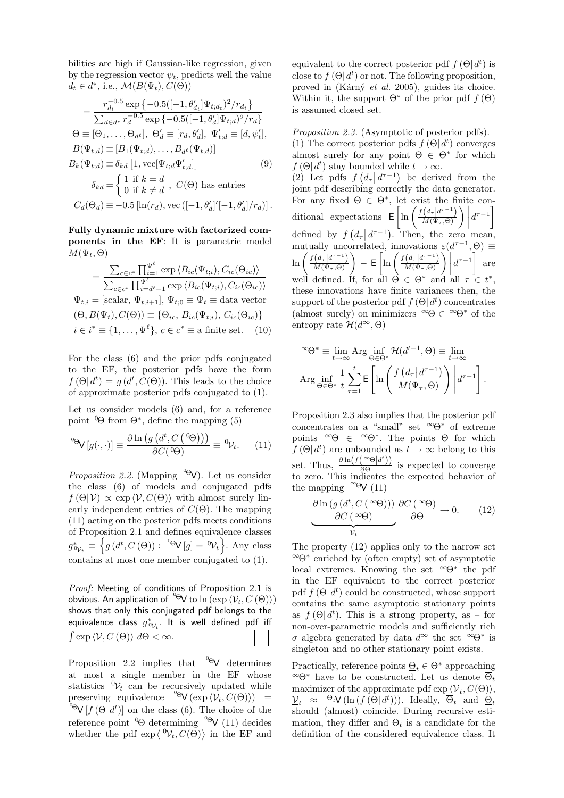bilities are high if Gaussian-like regression, given by the regression vector  $\psi_t$ , predicts well the value  $d_t \in d^*$ , i.e.,  $\mathcal{M}(B(\Psi_t), C(\Theta))$ 

$$
= \frac{r_{d_t}^{-0.5} \exp \{-0.5([-1, \theta'_{d_t}]\Psi_{t; d_t})^2/r_{d_t}\}}{\sum_{d \in d^*} r_d^{-0.5} \exp \{-0.5([-1, \theta'_{d}]\Psi_{t; d})^2/r_{d}\}}
$$
  
\n
$$
\Theta \equiv [\Theta_1, \dots, \Theta_{d^{\ell}}], \ \Theta'_{d} \equiv [r_d, \theta'_{d}], \ \Psi'_{t; d} \equiv [d, \psi'_t],
$$
  
\n
$$
B(\Psi_{t; d}) \equiv [B_1(\Psi_{t; d}), \dots, B_{d^{\ell}}(\Psi_{t; d})]
$$
  
\n
$$
B_k(\Psi_{t; d}) \equiv \delta_{kd} [1, \text{vec}[\Psi_{t; d}\Psi'_{t; d}]] \qquad (9)
$$
  
\n
$$
\delta_{kd} = \begin{cases} 1 \text{ if } k = d \\ 0 \text{ if } k \neq d \end{cases}, \ C(\Theta) \text{ has entries} \\ C_d(\Theta_d) \equiv -0.5 [\ln(r_d), \text{vec } ([-1, \theta'_d]'[-1, \theta'_d]/r_d)].
$$

Fully dynamic mixture with factorized components in the EF: It is parametric model  $M(\Psi_t, \Theta)$ 

$$
= \frac{\sum_{c \in c^*} \prod_{i=1}^{\Psi^\ell} \exp \langle B_{ic}(\Psi_{t,i}), C_{ic}(\Theta_{ic}) \rangle}{\sum_{c \in c^*} \prod_{i=d^{\ell}+1}^{\Psi^\ell} \exp \langle B_{ic}(\Psi_{t,i}), C_{ic}(\Theta_{ic}) \rangle}
$$
  

$$
\Psi_{t,i} = [\text{scalar}, \Psi_{t,i+1}], \Psi_{t,0} \equiv \Psi_t \equiv \text{data vector}
$$
  

$$
(\Theta, B(\Psi_t), C(\Theta)) \equiv \{\Theta_{ic}, B_{ic}(\Psi_{t,i}), C_{ic}(\Theta_{ic})\}
$$
  

$$
i \in i^* \equiv \{1, ..., \Psi^\ell\}, c \in c^* \equiv \text{a finite set.}
$$
 (10)

For the class (6) and the prior pdfs conjugated to the EF, the posterior pdfs have the form  $f(\Theta | d^t) = g(d^t, C(\Theta)).$  This leads to the choice of approximate posterior pdfs conjugated to (1).

Let us consider models (6) and, for a reference point  $\Theta$  from  $\Theta^*$ , define the mapping (5)

$$
{}^{\circ}\!\Theta\!V[g(\cdot,\cdot)] \equiv \frac{\partial \ln \left(g\left(d^{t}, C\left({}^{\,0}\!\Theta\right)\right)\right)}{\partial C\left({}^{\,0}\!\Theta\right)} \equiv {}^{\,0}\!\mathcal{V}_{t}. \tag{11}
$$

*Proposition 2.2.* (Mapping  $\mathcal{P}(\Theta)$ ). Let us consider the class (6) of models and conjugated pdfs  $f(\Theta|\mathcal{V}) \propto \exp \langle \mathcal{V}, C(\Theta) \rangle$  with almost surely linearly independent entries of  $C(\Theta)$ . The mapping (11) acting on the posterior pdfs meets conditions of Proposition 2.1 and defines equivalence classes  $g_{\phi_{\mathcal{V}_t}}^* \equiv \left\{ g(d^t, C^{\cdot}(\Theta)) : \ {}^{\circ\Theta}\mathsf{V}[g] = {}^{\circ\mathcal{V}_t}\right\}$ . Any class contains at most one member conjugated to (1).

Proof: Meeting of conditions of Proposition 2.1 is obvious. An application of  ${}^{0}\Theta$ V to  $\ln (\exp \langle V_t, C(\Theta) \rangle)$ shows that only this conjugated pdf belongs to the equivalence class  $g^*_{0\mathcal{V}_t}$ . It is well defined pdf iff  $\int \exp \langle \mathcal{V}, C(\Theta) \rangle d\Theta < \infty$ .

Proposition 2.2 implies that  $\overset{\circ}{\mathsf{\Theta}}\mathsf{V}$  determines at most a single member in the EF whose statistics  ${}^{\circ}\mathcal{V}_t$  can be recursively updated while preserving equivalence  ${}^{0}\mathsf{O}(\exp \langle \mathcal{V}_t, C(\Theta) \rangle)$  = <sup>0</sup> $V[f(\Theta | d^t)]$  on the class (6). The choice of the reference point  $^{0}\Theta$  determining  $^{0}\Theta$  (11) decides reference point  $\Theta$  determining  $\Theta$  (11) decides<br>whether the pdf exp $\langle \mathcal{V}_t, C(\Theta) \rangle$  in the EF and

equivalent to the correct posterior pdf  $f(\Theta|\,d^t)$  is close to  $f(\Theta | d^t)$  or not. The following proposition, proved in (Kárný et al. 2005), guides its choice. Within it, the support  $\Theta^*$  of the prior pdf  $f(\Theta)$ is assumed closed set.

Proposition 2.3. (Asymptotic of posterior pdfs). (1) The correct posterior pdfs  $f(\Theta | d^t)$  converges almost surely for any point  $\Theta \in \Theta^*$  for which  $f(\Theta \mid d^t)$  stay bounded while  $t \to \infty$ . (2) Let pdfs  $f(d_\tau | d^{\tau-1})$  be derived from the joint pdf describing correctly the data generator. For any fixed  $\Theta \in \Theta^*$ , let exist the finite con-For any fixed  $\Theta \in \Theta^*$ , let exist the fit<br>ditional expectations  $\mathsf{E}\left[\ln\left(\frac{f(d_\tau | d^{\tau-1})}{M(\Psi_0)}\right)\right]$ st the finite cor<br>  $\frac{(d_{\tau}|d^{\tau-1})}{M(\Psi_{\tau},\Theta)}\Bigg)d^{\tau-1}$ defined by  $f$ ¡  $d_{\tau}$  $d^{\tau-1}$ . Then, the zero mean, mutually uncorrelated, innovations  $\varepsilon(d^{\tau-1},\Theta) \equiv$ mutually unce<br>  $\ln \left( \frac{f(d_{\tau}|d^{\tau-1})}{M(\Psi,\Theta)} \right)$ ally uncorrelated, innovations<br>  $\left(\frac{d_{\tau}|d^{\tau-1}}{M(\Psi_{\tau},\Theta)}\right) - \mathsf{E}\left[\ln\left(\frac{f(d_{\tau}|d^{\tau-1})}{M(\Psi_{\tau},\Theta)}\right)\right]$  $\frac{d^2 a}{d\sigma} \left( \frac{d^2 a}{d\sigma} \right)^{-1} \left( \frac{d^2 a}{d\sigma} \right)^{-1} \left( \frac{d^2 a}{d\sigma} \right)^{-1}$  are well defined. If, for all  $\Theta \in \Theta^*$  and all  $\tau \in t^*$ , these innovations have finite variances then, the support of the posterior pdf  $f(\Theta | d^t)$  concentrates (almost surely) on minimizers  $\infty \Theta \in \infty$  of the entropy rate  $\mathcal{H}(d^{\infty},\Theta)$ 

$$
\infty \Theta^* \equiv \lim_{t \to \infty} \text{Arg} \inf_{\Theta \in \Theta^*} \mathcal{H}(d^{t-1}, \Theta) \equiv \lim_{t \to \infty}
$$
  
Arg  $\inf_{\Theta \in \Theta^*} \frac{1}{t} \sum_{\tau=1}^t \mathsf{E} \left[ \ln \left( \frac{f(d_\tau | d^{\tau-1})}{M(\Psi_\tau, \Theta)} \right) \middle| d^{\tau-1} \right].$ 

Proposition 2.3 also implies that the posterior pdf concentrates on a "small" set  $\infty$  $\Theta^*$  of extreme points  $^{\infty}\Theta \in {\infty}$ . The points  $\Theta$  for which  $f(\Theta|\,d^t)$  are unbounded as  $t \to \infty$  belong to this set. Thus,  $\frac{\partial \ln(f(\infty \Theta | d^t))}{\partial \Theta}$  $\frac{(\Theta|a)}{\partial \Theta}$  is expected to converge to zero. This indicates the expected behavior of the mapping  $^{\infty}$  $\Theta$ V (11)

$$
\underbrace{\frac{\partial \ln \left( g\left(d^t, C\left(\infty\Theta\right)\right)\right)}{\partial C\left(\infty\Theta\right)} \frac{\partial C\left(\infty\Theta\right)}{\partial \Theta}}_{\mathcal{V}_t} \to 0. \tag{12}
$$

The property (12) applies only to the narrow set <sup>∞</sup>Θ<sup>∗</sup> enriched by (often empty) set of asymptotic local extremes. Knowing the set  $\infty$  $\Theta^*$  the pdf in the EF equivalent to the correct posterior pdf  $f(\Theta|\,d^t)$  could be constructed, whose support contains the same asymptotic stationary points as  $f(\Theta | d^t)$ . This is a strong property, as - for non-over-parametric models and sufficiently rich σ algebra generated by data d<sup>∞</sup> the set <sup>∞</sup>Θ<sup>∗</sup> is singleton and no other stationary point exists.

Practically, reference points  $\Theta_t \in \Theta^*$  approaching  $\infty$ Θ<sup>∗</sup> have to be constructed. Let us denote  $\overline{\Theta}_t$ maximizer of the approximate pdf  $\exp \langle \underline{\mathcal{V}}_t, C(\Theta) \rangle$ ,  $\underline{\mathcal{V}}_t \approx \Theta_t \mathsf{V}(\ln(f(\Theta | d^t)))$ . Ideally,  $\overline{\Theta}_t$  and  $\underline{\Theta}_t$ should (almost) coincide. During recursive estimation, they differ and  $\overline{\Theta}_t$  is a candidate for the definition of the considered equivalence class. It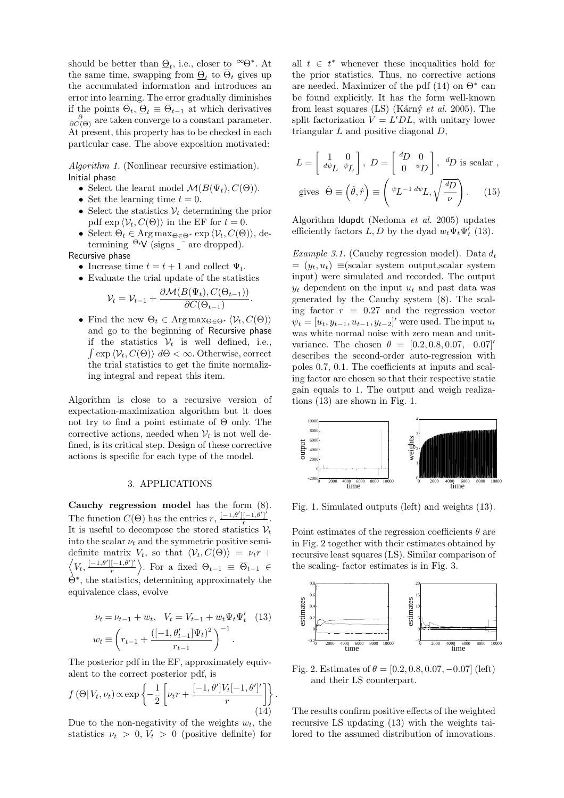should be better than  $\underline{\Theta}_t$ , i.e., closer to  $\infty \Theta^*$ . At the same time, swapping from  $\underline{\Theta}_t$  to  $\overline{\Theta}_t$  gives up the accumulated information and introduces an error into learning. The error gradually diminishes if the points  $\overline{\Theta}_t$ ,  $\underline{\Theta}_t \equiv \overline{\Theta}_{t-1}$  at which derivatives  $\frac{\partial}{\partial C(\Theta)}$  are taken converge to a constant parameter. At present, this property has to be checked in each particular case. The above exposition motivated:

Algorithm 1. (Nonlinear recursive estimation). Initial phase

- Select the learnt model  $\mathcal{M}(B(\Psi_t), C(\Theta)).$
- Set the learning time  $t = 0$ .
- Select the statistics  $V_t$  determining the prior pdf  $\exp \langle V_t, C(\Theta) \rangle$  in the EF for  $t = 0$ .
- Select  $\Theta_t \in \text{Arg}\max_{\Theta \in \Theta^*} \exp \langle \mathcal{V}_t, C(\Theta) \rangle$ , determining  $\Theta_t V$  (signs  $\overline{\phantom{a}}$  are dropped).

Recursive phase

- Increase time  $t = t + 1$  and collect  $\Psi_t$ .
- Evaluate the trial update of the statistics

$$
\mathcal{V}_t = \mathcal{V}_{t-1} + \frac{\partial \mathcal{M}(B(\Psi_t), C(\Theta_{t-1}))}{\partial C(\Theta_{t-1})}.
$$

• Find the new  $\Theta_t \in \text{Arg}\max_{\Theta \in \Theta^*} \langle \mathcal{V}_t, C(\Theta) \rangle$ and go to the beginning of Recursive phase if the statistics  $V_t$  is well defined, i.e.,  $\int \exp \langle \mathcal{V}_t, C(\Theta) \rangle \, d\Theta < \infty$ . Otherwise, correct the trial statistics to get the finite normalizing integral and repeat this item.

Algorithm is close to a recursive version of expectation-maximization algorithm but it does not try to find a point estimate of Θ only. The corrective actions, needed when  $V_t$  is not well defined, is its critical step. Design of these corrective actions is specific for each type of the model.

#### 3. APPLICATIONS

Cauchy regression model has the form (8). The function  $C(\Theta)$  has the entries  $r, \frac{[-1,\theta'][-1,\theta']}{r}$  $rac{[-1,\theta^r]}{r}$ . It is useful to decompose the stored statistics  $V_t$ into the scalar  $\nu_t$  and the symmetric positive semidefinite matrix  $V_t$ , so that  $\langle \mathcal{V}_t, C(\Theta) \rangle = \nu_t r +$  $V_t, \frac{[-1, \theta'][-1, \theta']'}{r}$  $\overline{\Theta}_{t-1} \equiv \overline{\Theta}_{t-1} \in$ Θ<sup>∗</sup> , the statistics, determining approximately the equivalence class, evolve

$$
\nu_t = \nu_{t-1} + w_t, \quad V_t = V_{t-1} + w_t \Psi_t \Psi'_t \quad (13)
$$

$$
w_t \equiv \left( r_{t-1} + \frac{([-1, \theta'_{t-1}]\Psi_t)^2}{r_{t-1}} \right)^{-1}.
$$

The posterior pdf in the EF, approximately equiv- $\alpha$  alent to the correct posterior pdf, is

$$
f(\Theta|V_t, \nu_t) \propto \exp\left\{-\frac{1}{2} \left[\nu_t r + \frac{[-1, \theta']V_t[-1, \theta']'}{r}\right]\right\}
$$
(14)

.

Due to the non-negativity of the weights  $w_t$ , the statistics  $\nu_t > 0, V_t > 0$  (positive definite) for

all  $t \in t^*$  whenever these inequalities hold for the prior statistics. Thus, no corrective actions are needed. Maximizer of the pdf  $(14)$  on  $\Theta^*$  can be found explicitly. It has the form well-known from least squares (LS) (Kárný et al. 2005). The split factorization  $V = L'DL$ , with unitary lower triangular  $L$  and positive diagonal  $D$ ,

$$
L = \begin{bmatrix} 1 & 0 \\ d\psi_L & \psi_L \end{bmatrix}, \ D = \begin{bmatrix} \frac{d}{dD} & 0 \\ 0 & \psi_D \end{bmatrix}, \ \frac{d}{dD} \text{ is scalar },
$$
  
gives  $\hat{\Theta} \equiv (\hat{\theta}, \hat{r}) \equiv \begin{pmatrix} \psi_L^{-1} & d\psi_L, \sqrt{\frac{d}{dD}} \\ 0 & \psi_D \end{pmatrix}.$  (15)

Algorithm ldupdt (Nedoma et al. 2005) updates efficiently factors  $L, D$  by the dyad  $w_t \Psi_t \Psi'_t$  (13).

Example 3.1. (Cauchy regression model). Data  $d_t$  $=(y_t, u_t) \equiv (scalar system output, scalar system)$ input) were simulated and recorded. The output  $y_t$  dependent on the input  $u_t$  and past data was generated by the Cauchy system (8). The scaling factor  $r = 0.27$  and the regression vector  $\psi_t = [u_t, y_{t-1}, u_{t-1}, y_{t-2}]'$  were used. The input  $u_t$ was white normal noise with zero mean and unitvariance. The chosen  $\theta = [0.2, 0.8, 0.07, -0.07]$ describes the second-order auto-regression with poles 0.7, 0.1. The coefficients at inputs and scaling factor are chosen so that their respective static gain equals to 1. The output and weigh realizations (13) are shown in Fig. 1.



Fig. 1. Simulated outputs (left) and weights (13).

Point estimates of the regression coefficients  $\theta$  are in Fig. 2 together with their estimates obtained by recursive least squares (LS). Similar comparison of the scaling- factor estimates is in Fig. 3.



Fig. 2. Estimates of  $\theta = [0.2, 0.8, 0.07, -0.07]$  (left) and their LS counterpart.

The results confirm positive effects of the weighted recursive LS updating (13) with the weights tailored to the assumed distribution of innovations.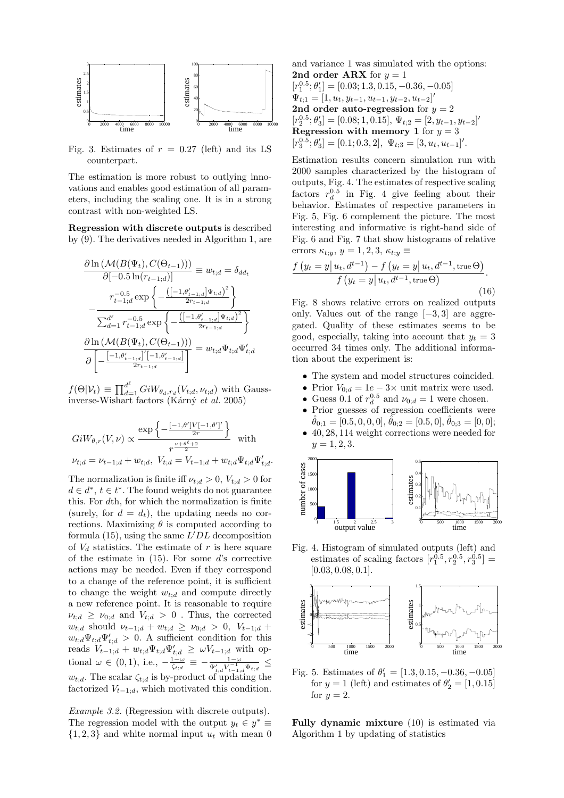

Fig. 3. Estimates of  $r = 0.27$  (left) and its LS counterpart.

The estimation is more robust to outlying innovations and enables good estimation of all parameters, including the scaling one. It is in a strong contrast with non-weighted LS.

Regression with discrete outputs is described by (9). The derivatives needed in Algorithm 1, are

$$
\frac{\partial \ln \left( \mathcal{M}(B(\Psi_t), C(\Theta_{t-1})) \right)}{\partial [-0.5 \ln(r_{t-1,d})]} \equiv w_{t;d} = \delta_{dd_t}
$$
\n
$$
- \frac{r_{t-1;d}^{-0.5} \exp \left\{ -\frac{\left( [-1, \theta'_{t-1;d}] \Psi_{t;d} \right)^2}{2r_{t-1;d}} \right\}}{\sum_{d=1}^{d^\ell} r_{t-1;d}^{-0.5} \exp \left\{ -\frac{\left( [-1, \theta'_{t-1;d}] \Psi_{t;d} \right)^2}{2r_{t-1;d}} \right\}}
$$
\n
$$
\frac{\partial \ln \left( \mathcal{M}(B(\Psi_t), C(\Theta_{t-1})) \right)}{\partial \left[ -\frac{[-1, \theta'_{t-1;d}]'[-1, \theta'_{t-1;d}]}{2r_{t-1;d}} \right]} = w_{t;d} \Psi_{t;d} \Psi'_{t;d}
$$

 $f(\Theta|\mathcal{V}_t) \equiv \prod_{d=1}^{d^{\ell}} GiW_{\theta_d,r_d}(V_{t;d},\nu_{t;d})$  with Gaussinverse-Wishart factors (Kárný et al. 2005)

$$
GiW_{\theta,r}(V,\nu) \propto \frac{\exp\left\{-\frac{[-1,\theta']V[-1,\theta']'}{2r}\right\}}{r^{\frac{\nu+\theta^{\ell}+2}{2}}} \quad \text{with}
$$
  

$$
\nu_{t;d} = \nu_{t-1;d} + w_{t;d}, \ V_{t;d} = V_{t-1;d} + w_{t;d} \Psi_{t;d} \Psi'_{t;d}.
$$

The normalization is finite iff  $\nu_{t,d} > 0$ ,  $V_{t,d} > 0$  for  $d \in d^*, t \in t^*.$  The found weights do not guarantee this. For dth, for which the normalization is finite (surely, for  $d = d_t$ ), the updating needs no corrections. Maximizing  $\theta$  is computed according to formula (15), using the same  $L'DL$  decomposition of  $V_d$  statistics. The estimate of r is here square of the estimate in  $(15)$ . For some d's corrective actions may be needed. Even if they correspond to a change of the reference point, it is sufficient to change the weight  $w_{t:d}$  and compute directly a new reference point. It is reasonable to require  $\nu_{t;d} \geq \nu_{0;d}$  and  $V_{t;d} > 0$ . Thus, the corrected  $w_{t;d}$  should  $\nu_{t-1;d} + w_{t;d} \geq \nu_{0;d} > 0$ ,  $V_{t-1;d}$  +  $w_{t,d}\Psi_{t;d}\Psi_{t;d} > 0$ . A sufficient condition for this reads  $V_{t-1,d} + w_{t,d} \Psi_{t,d} \Psi'_{t,d} \geq \omega V_{t-1,d}$  with optional  $\omega \in (0, 1)$ , i.e.,  $-\frac{1-\omega}{\zeta_{t,d}} \equiv -\frac{1-\omega}{\Psi'_{t,d}V_{t-1,d}^{-1}\Psi_{t,d}} \leq$  $w_{t:d}$ . The scalar  $\zeta_{t:d}$  is by-product of updating the factorized  $V_{t-1:d}$ , which motivated this condition.

Example 3.2. (Regression with discrete outputs). The regression model with the output  $y_t \in y^* \equiv$  $\{1,2,3\}$  and white normal input  $u_t$  with mean 0 and variance 1 was simulated with the options: 2nd order ARX for  $y = 1$  $[r_1^{0.5};\theta'_1] = [0.03;1.3,0.15,-0.36,-0.05]$  $\Psi_{t;1} = [1, u_t, y_{t-1}, u_{t-1}, y_{t-2}, u_{t-2}]'$ 2nd order auto-regression for  $y = 2$  $[r_2^{0.5}; \theta'_3] = [0.08; 1, 0.15], \Psi_{t;2} = [2, y_{t-1}, y_{t-2}]'$ Regression with memory 1 for  $y = 3$  $[r_3^{0.5}; \theta'_3] = [0.1; 0.3, 2], \ \Psi_{t;3} = [3, u_t, u_{t-1}]'.$ 

Estimation results concern simulation run with 2000 samples characterized by the histogram of outputs, Fig. 4. The estimates of respective scaling factors  $r_d^{0.5}$  in Fig. 4 give feeling about their behavior. Estimates of respective parameters in Fig. 5, Fig. 6 complement the picture. The most interesting and informative is right-hand side of Fig. 6 and Fig. 7 that show histograms of relative errors  $\kappa_{t,y}, y = 1, 2, 3, \kappa_{t,y} \equiv$  $\overline{a}$ ¢

$$
\frac{f\left(y_t = y \middle| u_t, d^{t-1}\right) - f\left(y_t = y \middle| u_t, d^{t-1}, \text{true } \Theta\right)}{f\left(y_t = y \middle| u_t, d^{t-1}, \text{true } \Theta\right)}.
$$
\n(16)

Fig. 8 shows relative errors on realized outputs only. Values out of the range  $[-3, 3]$  are aggregated. Quality of these estimates seems to be good, especially, taking into account that  $y_t = 3$ occurred 34 times only. The additional information about the experiment is:

- The system and model structures coincided.
- Prior  $V_{0;d} = 1e 3 \times$  unit matrix were used.
- Guess 0.1 of  $r_d^{0.5}$  and  $\nu_{0,d} = 1$  were chosen.
- Prior guesses of regression coefficients were  $\hat{\theta}_{0;1} = [0.5, 0, 0, 0], \hat{\theta}_{0;2} = [0.5, 0], \hat{\theta}_{0;3} = [0, 0];$
- 40, 28, 114 weight corrections were needed for  $y = 1, 2, 3.$



Fig. 4. Histogram of simulated outputs (left) and estimates of scaling factors  $[r_1^{0.5}, r_2^{0.5}, r_3^{0.5}] =$  $[0.03, 0.08, 0.1]$ .



Fig. 5. Estimates of  $\theta'_1 = [1.3, 0.15, -0.36, -0.05]$ for  $y = 1$  (left) and estimates of  $\theta'_2 = [1, 0.15]$ for  $y = 2$ .

Fully dynamic mixture (10) is estimated via Algorithm 1 by updating of statistics